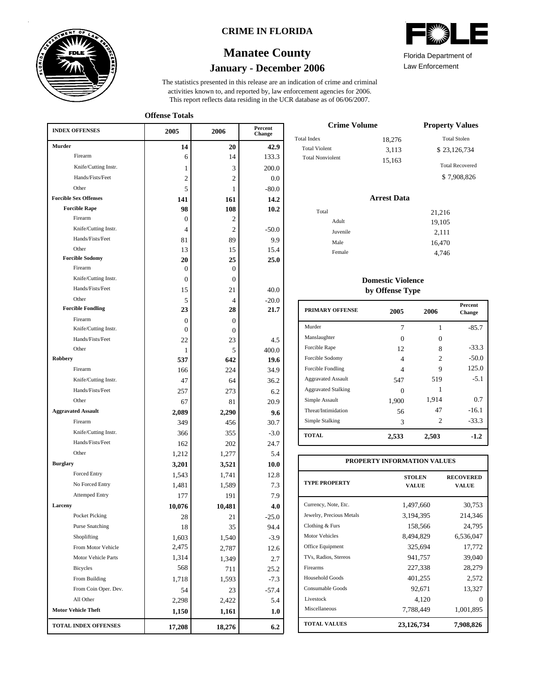

### **CRIME IN FLORIDA**

## **January - December 2006 Manatee County**

This report reflects data residing in the UCR database as of 06/06/2007. activities known to, and reported by, law enforcement agencies for 2006. The statistics presented in this release are an indication of crime and criminal

**Offense Totals**

| <b>INDEX OFFENSES</b>        | 2005           | 2006             | Percent<br>Change |
|------------------------------|----------------|------------------|-------------------|
| Murder                       | 14             | 20               | 42.9              |
| Firearm                      | 6              | 14               | 133.3             |
| Knife/Cutting Instr.         | 1              | 3                | 200.0             |
| Hands/Fists/Feet             | 2              | 2                | 0.0               |
| Other                        | 5              | 1                | $-80.0$           |
| <b>Forcible Sex Offenses</b> | 141            | 161              | 14.2              |
| <b>Forcible Rape</b>         | 98             | 108              | 10.2              |
| Firearm                      | 0              | 2                |                   |
| Knife/Cutting Instr.         | 4              | 2                | $-50.0$           |
| Hands/Fists/Feet             | 81             | 89               | 9.9               |
| Other                        | 13             | 15               | 15.4              |
| <b>Forcible Sodomy</b>       | 20             | 25               | 25.0              |
| Firearm                      | 0              | $\boldsymbol{0}$ |                   |
| Knife/Cutting Instr.         | 0              | $\overline{0}$   |                   |
| Hands/Fists/Feet             | 15             | 21               | 40.0              |
| Other                        | 5              | 4                | $-20.0$           |
| <b>Forcible Fondling</b>     | 23             | 28               | 21.7              |
| Firearm                      | $\Omega$       | $\mathbf{0}$     |                   |
| Knife/Cutting Instr.         | $\Omega$       | 0                |                   |
| Hands/Fists/Feet<br>Other    | 22             | 23               | 4.5               |
| Robbery                      | 1              | 5<br>642         | 400.0             |
| Firearm                      | 537            | 224              | 19.6              |
| Knife/Cutting Instr.         | 166            |                  | 34.9              |
| Hands/Fists/Feet             | 47             | 64               | 36.2              |
| Other                        | 257            | 273<br>81        | 6.2<br>20.9       |
| <b>Aggravated Assault</b>    | 67             |                  |                   |
| Firearm                      | 2,089<br>349   | 2,290<br>456     | 9.6<br>30.7       |
| Knife/Cutting Instr.         | 366            | 355              | $-3.0$            |
| Hands/Fists/Feet             | 162            | 202              | 24.7              |
| Other                        | 1,212          | 1,277            | 5.4               |
| <b>Burglary</b>              | 3,201          | 3,521            | 10.0              |
| <b>Forced Entry</b>          | 1,543          | 1,741            | 12.8              |
| No Forced Entry              | 1,481          | 1,589            | 7.3               |
| <b>Attemped Entry</b>        | 177            | 191              | 7.9               |
| Larceny                      | 10,076         | 10,481           | 4.0               |
| Pocket Picking               | 28             | $21\,$           | $-25.0$           |
| <b>Purse Snatching</b>       | 18             | 35               | 94.4              |
| Shoplifting                  | 1,603          | 1,540            | $-3.9$            |
| From Motor Vehicle           | 2,475          |                  |                   |
| Motor Vehicle Parts          | 1,314          | 2,787            | 12.6              |
| <b>Bicycles</b>              | 568            | 1,349            | 2.7               |
| From Building                | 1,718          | 711<br>1,593     | 25.2<br>$-7.3$    |
| From Coin Oper. Dev.         |                |                  |                   |
| All Other                    | 54             | 23               | $-57.4$           |
| <b>Motor Vehicle Theft</b>   | 2,298<br>1,150 | 2,422            | 5.4               |
|                              |                | 1,161            | 1.0               |
| TOTAL INDEX OFFENSES         | 17,208         | 18,276           | 6.2               |

| <b>Crime Volume</b>     | <b>Property Values</b> |                        |
|-------------------------|------------------------|------------------------|
| <b>Total Index</b>      | 18,276                 | <b>Total Stolen</b>    |
| Total Violent           | 3,113                  | \$23,126,734           |
| <b>Total Nonviolent</b> | 15,163                 | <b>Total Recovered</b> |
|                         |                        | \$7,908,826            |

### **Arrest Data**

| Total    | 21,216 |
|----------|--------|
| Adult    | 19,105 |
| Juvenile | 2,111  |
| Male     | 16,470 |
| Female   | 4,746  |
|          |        |

### **Domestic Violence by Offense Type**

| PRIMARY OFFENSE            | 2005              | 2006           | <b>Percent</b><br>Change |
|----------------------------|-------------------|----------------|--------------------------|
| Murder                     | 7                 | 1              | $-85.7$                  |
| Manslaughter               | $\mathbf{\Omega}$ | 0              |                          |
| Forcible Rape              | 12                | 8              | $-33.3$                  |
| Forcible Sodomy            | 4                 | $\mathfrak{D}$ | $-50.0$                  |
| Forcible Fondling          | 4                 | 9              | 125.0                    |
| <b>Aggravated Assault</b>  | 547               | 519            | $-5.1$                   |
| <b>Aggravated Stalking</b> |                   |                |                          |
| Simple Assault             | 1,900             | 1,914          | 0.7                      |
| Threat/Intimidation        | 56                | 47             | $-16.1$                  |
| Simple Stalking            | 3                 | 2              | $-33.3$                  |
| <b>TOTAL</b>               | 2,533             | 2,503          | $-1.2$                   |

| PROPERTY INFORMATION VALUES |                               |                           |  |  |  |  |
|-----------------------------|-------------------------------|---------------------------|--|--|--|--|
| <b>TYPE PROPERTY</b>        | <b>STOLEN</b><br><b>VALUE</b> | <b>RECOVERED</b><br>VALUE |  |  |  |  |
| Currency, Note, Etc.        | 1,497,660                     | 30,753                    |  |  |  |  |
| Jewelry, Precious Metals    | 3,194,395                     | 214,346                   |  |  |  |  |
| Clothing & Furs             | 158,566                       | 24,795                    |  |  |  |  |
| <b>Motor Vehicles</b>       | 8,494,829                     | 6,536,047                 |  |  |  |  |
| Office Equipment            | 325,694                       | 17,772                    |  |  |  |  |
| TVs, Radios, Stereos        | 941,757                       | 39,040                    |  |  |  |  |
| Firearms                    | 227,338                       | 28,279                    |  |  |  |  |
| Household Goods             | 401,255                       | 2,572                     |  |  |  |  |
| Consumable Goods            | 92,671                        | 13,327                    |  |  |  |  |
| Livestock                   | 4,120                         | 0                         |  |  |  |  |
| Miscellaneous               | 7,788,449                     | 1,001,895                 |  |  |  |  |
| <b>TOTAL VALUES</b>         | 23,126,734                    | 7,908,826                 |  |  |  |  |



Law Enforcement Florida Department of